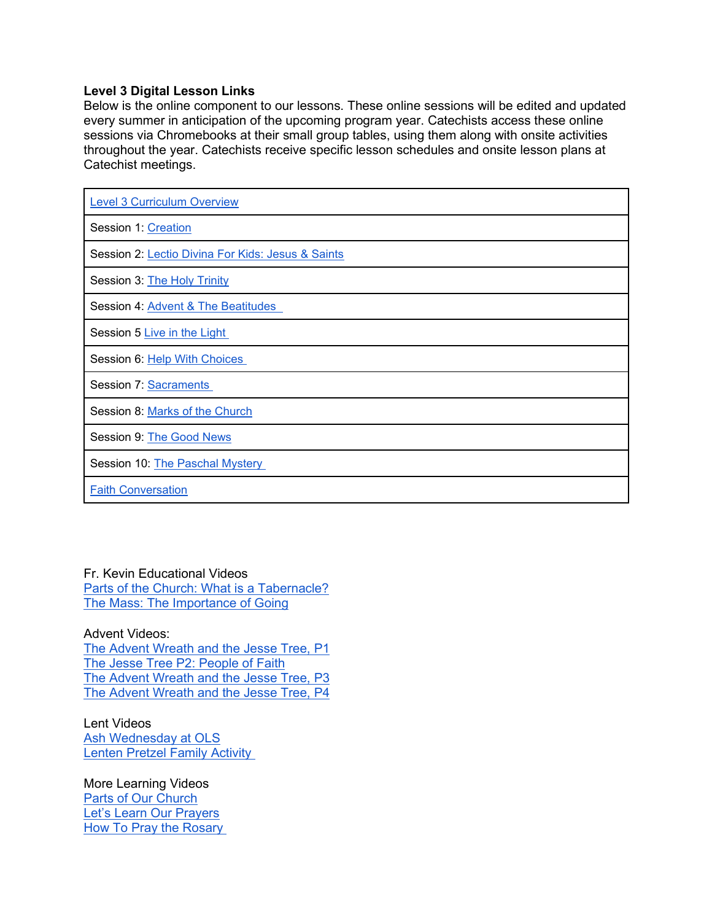## **Level 3 Digital Lesson Links**

Below is the online component to our lessons. These online sessions will be edited and updated every summer in anticipation of the upcoming program year. Catechists access these online sessions via Chromebooks at their small group tables, using them along with onsite activities throughout the year. Catechists receive specific lesson schedules and onsite lesson plans at Catechist meetings.

| <b>Level 3 Curriculum Overview</b>                |
|---------------------------------------------------|
| Session 1: Creation                               |
| Session 2: Lectio Divina For Kids: Jesus & Saints |
| Session 3: The Holy Trinity                       |
| Session 4: Advent & The Beatitudes                |
| Session 5 Live in the Light                       |
| Session 6: Help With Choices                      |
| <b>Session 7: Sacraments</b>                      |
| Session 8: Marks of the Church                    |
| Session 9: The Good News                          |
| Session 10: The Paschal Mystery                   |
| <b>Faith Conversation</b>                         |

Fr. Kevin Educational Videos [Parts of the Church: What is a Tabernacle?](https://olsvc.blogspot.com/2020/09/what-is-tabernacle.html) [The Mass: The Importance of Going](https://olsvc.blogspot.com/2020/11/the-mass-part-1-importance-of-going.html)

Advent Videos: [The Advent Wreath and the Jesse Tree, P1](https://olsvc.blogspot.com/2020/11/the-advent-wreath-jesse-tree-part-1.html) [The Jesse Tree P2: People of Faith](https://olsvc.blogspot.com/2020/12/the-jesse-tree-part-2-people-of-faith.html) [The Advent Wreath and the Jesse Tree, P3](https://olsvc.blogspot.com/2020/12/the-advent-jesse-tree-part-3.html) [The Advent Wreath and the Jesse Tree, P4](https://olsvc.blogspot.com/2020/12/the-advent-wreath-jesse-tree-part-4.html)

Lent Videos [Ash Wednesday at OLS](https://olsvc.blogspot.com/2021/02/ash-wednesday-at-our-lady-of-snow.html) [Lenten Pretzel Family Activity](https://olsvc.blogspot.com/2021/03/lenten-pretzel-family-activity.html)

More Learning Videos [Parts of Our Church](https://olsvc.blogspot.com/2020/09/parts-of-church.html) [Let's Learn Our Prayers](https://olsvc.blogspot.com/2020/09/learning-prayers.html) [How To Pray the Rosary](https://olsvc.blogspot.com/2020/10/how-to-pray-rosary.html)